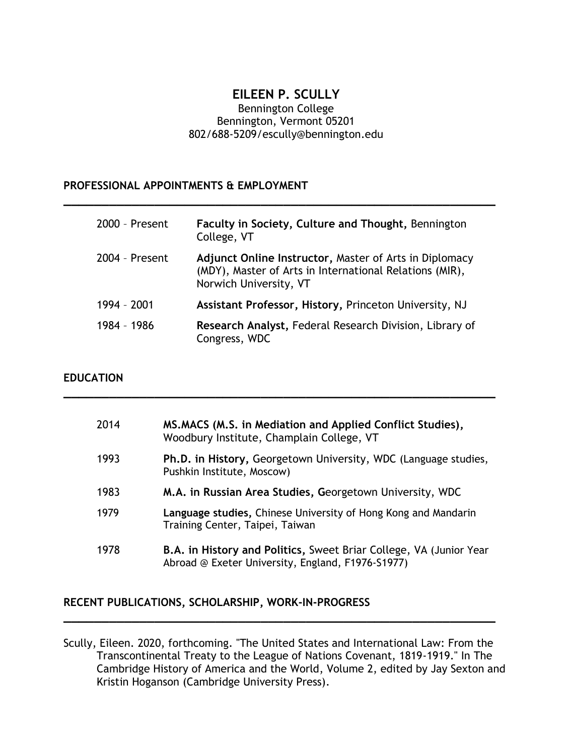## **EILEEN P. SCULLY**

#### Bennington College Bennington, Vermont 05201 802/688-5209/escully@bennington.edu

**\_\_\_\_\_\_\_\_\_\_\_\_\_\_\_\_\_\_\_\_\_\_\_\_\_\_\_\_\_\_\_\_\_\_\_\_\_\_\_\_\_\_\_\_\_\_\_\_\_\_\_\_\_\_\_\_\_**

#### **PROFESSIONAL APPOINTMENTS & EMPLOYMENT**

| 2000 - Present | Faculty in Society, Culture and Thought, Bennington<br>College, VT                                                                          |
|----------------|---------------------------------------------------------------------------------------------------------------------------------------------|
| 2004 - Present | Adjunct Online Instructor, Master of Arts in Diplomacy<br>(MDY), Master of Arts in International Relations (MIR),<br>Norwich University, VT |
| 1994 - 2001    | Assistant Professor, History, Princeton University, NJ                                                                                      |
| 1984 - 1986    | Research Analyst, Federal Research Division, Library of<br>Congress, WDC                                                                    |

**\_\_\_\_\_\_\_\_\_\_\_\_\_\_\_\_\_\_\_\_\_\_\_\_\_\_\_\_\_\_\_\_\_\_\_\_\_\_\_\_\_\_\_\_\_\_\_\_\_\_\_\_\_\_\_\_\_**

#### **EDUCATION**

| 2014 | MS.MACS (M.S. in Mediation and Applied Conflict Studies),<br>Woodbury Institute, Champlain College, VT                         |
|------|--------------------------------------------------------------------------------------------------------------------------------|
| 1993 | Ph.D. in History, Georgetown University, WDC (Language studies,<br>Pushkin Institute, Moscow)                                  |
| 1983 | M.A. in Russian Area Studies, Georgetown University, WDC                                                                       |
| 1979 | Language studies, Chinese University of Hong Kong and Mandarin<br>Training Center, Taipei, Taiwan                              |
| 1978 | <b>B.A. in History and Politics, Sweet Briar College, VA (Junior Year</b><br>Abroad @ Exeter University, England, F1976-S1977) |

#### **RECENT PUBLICATIONS, SCHOLARSHIP, WORK-IN-PROGRESS**

Scully, Eileen. 2020, forthcoming. "The United States and International Law: From the Transcontinental Treaty to the League of Nations Covenant, 1819-1919." In The Cambridge History of America and the World, Volume 2, edited by Jay Sexton and Kristin Hoganson (Cambridge University Press).

**\_\_\_\_\_\_\_\_\_\_\_\_\_\_\_\_\_\_\_\_\_\_\_\_\_\_\_\_\_\_\_\_\_\_\_\_\_\_\_\_\_\_\_\_\_\_\_\_\_\_\_\_\_\_\_\_\_**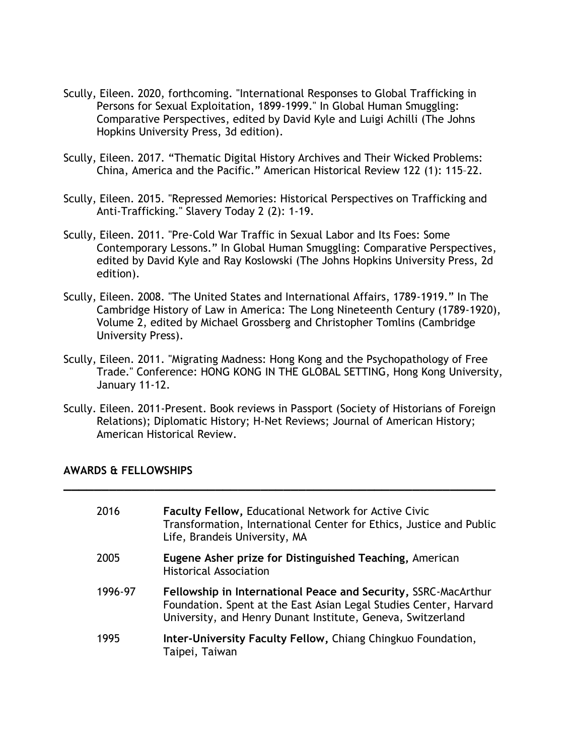- Scully, Eileen. 2020, forthcoming. "International Responses to Global Trafficking in Persons for Sexual Exploitation, 1899-1999." In Global Human Smuggling: Comparative Perspectives, edited by David Kyle and Luigi Achilli (The Johns Hopkins University Press, 3d edition).
- Scully, Eileen. 2017. "Thematic Digital History Archives and Their Wicked Problems: China, America and the Pacific." American Historical Review 122 (1): 115–22.
- Scully, Eileen. 2015. "Repressed Memories: Historical Perspectives on Trafficking and Anti-Trafficking." Slavery Today 2 (2): 1-19.
- Scully, Eileen. 2011. "Pre-Cold War Traffic in Sexual Labor and Its Foes: Some Contemporary Lessons." In Global Human Smuggling: Comparative Perspectives, edited by David Kyle and Ray Koslowski (The Johns Hopkins University Press, 2d edition).
- Scully, Eileen. 2008. "The United States and International Affairs, 1789-1919." In The Cambridge History of Law in America: The Long Nineteenth Century (1789-1920), Volume 2, edited by Michael Grossberg and Christopher Tomlins (Cambridge University Press).
- Scully, Eileen. 2011. "Migrating Madness: Hong Kong and the Psychopathology of Free Trade." Conference: HONG KONG IN THE GLOBAL SETTING, Hong Kong University, January 11-12.
- Scully. Eileen. 2011-Present. Book reviews in Passport (Society of Historians of Foreign Relations); Diplomatic History; H-Net Reviews; Journal of American History; American Historical Review.

**\_\_\_\_\_\_\_\_\_\_\_\_\_\_\_\_\_\_\_\_\_\_\_\_\_\_\_\_\_\_\_\_\_\_\_\_\_\_\_\_\_\_\_\_\_\_\_\_\_\_\_\_\_\_\_\_\_**

#### **AWARDS & FELLOWSHIPS**

| 2016    | <b>Faculty Fellow, Educational Network for Active Civic</b><br>Transformation, International Center for Ethics, Justice and Public<br>Life, Brandeis University, MA                                |
|---------|----------------------------------------------------------------------------------------------------------------------------------------------------------------------------------------------------|
| 2005    | Eugene Asher prize for Distinguished Teaching, American<br><b>Historical Association</b>                                                                                                           |
| 1996-97 | Fellowship in International Peace and Security, SSRC-MacArthur<br>Foundation. Spent at the East Asian Legal Studies Center, Harvard<br>University, and Henry Dunant Institute, Geneva, Switzerland |
| 1995    | Inter-University Faculty Fellow, Chiang Chingkuo Foundation,<br>Taipei, Taiwan                                                                                                                     |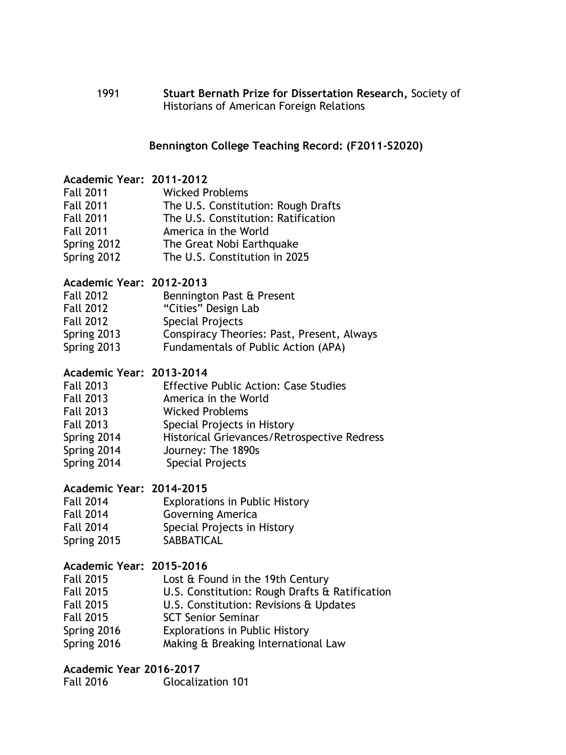1991 **Stuart Bernath Prize for Dissertation Research,** Society of Historians of American Foreign Relations

## **Bennington College Teaching Record: (F2011-S2020)**

### **Academic Year: 2011-2012**

| <b>Fall 2011</b> | <b>Wicked Problems</b>              |
|------------------|-------------------------------------|
| <b>Fall 2011</b> | The U.S. Constitution: Rough Drafts |
| <b>Fall 2011</b> | The U.S. Constitution: Ratification |
| <b>Fall 2011</b> | America in the World                |
| Spring 2012      | The Great Nobi Earthquake           |
| Spring 2012      | The U.S. Constitution in 2025       |

### **Academic Year: 2012-2013**

| <b>Fall 2012</b> | Bennington Past & Present                  |
|------------------|--------------------------------------------|
| <b>Fall 2012</b> | "Cities" Design Lab                        |
| <b>Fall 2012</b> | <b>Special Projects</b>                    |
| Spring 2013      | Conspiracy Theories: Past, Present, Always |
| Spring 2013      | Fundamentals of Public Action (APA)        |

# **Academic Year: 2013-2014**

| <b>Fall 2013</b> | <b>Effective Public Action: Case Studies</b> |
|------------------|----------------------------------------------|
| <b>Fall 2013</b> | America in the World                         |
| <b>Fall 2013</b> | <b>Wicked Problems</b>                       |
| <b>Fall 2013</b> | Special Projects in History                  |
| Spring 2014      | Historical Grievances/Retrospective Redress  |
| Spring 2014      | Journey: The 1890s                           |
| Spring 2014      | <b>Special Projects</b>                      |
|                  |                                              |

# **Academic Year: 2014-2015**

| <b>Fall 2014</b> | <b>Explorations in Public History</b> |
|------------------|---------------------------------------|
| <b>Fall 2014</b> | <b>Governing America</b>              |
| <b>Fall 2014</b> | Special Projects in History           |
| Spring 2015      | <b>SABBATICAL</b>                     |

### **Academic Year: 2015-2016**

| <b>Fall 2015</b> | Lost & Found in the 19th Century               |
|------------------|------------------------------------------------|
| <b>Fall 2015</b> | U.S. Constitution: Rough Drafts & Ratification |
| <b>Fall 2015</b> | U.S. Constitution: Revisions & Updates         |
| <b>Fall 2015</b> | <b>SCT Senior Seminar</b>                      |
| Spring 2016      | <b>Explorations in Public History</b>          |
| Spring 2016      | Making & Breaking International Law            |

### **Academic Year 2016-2017**

| <b>Fall 2016</b> | <b>Glocalization 101</b> |
|------------------|--------------------------|
|------------------|--------------------------|